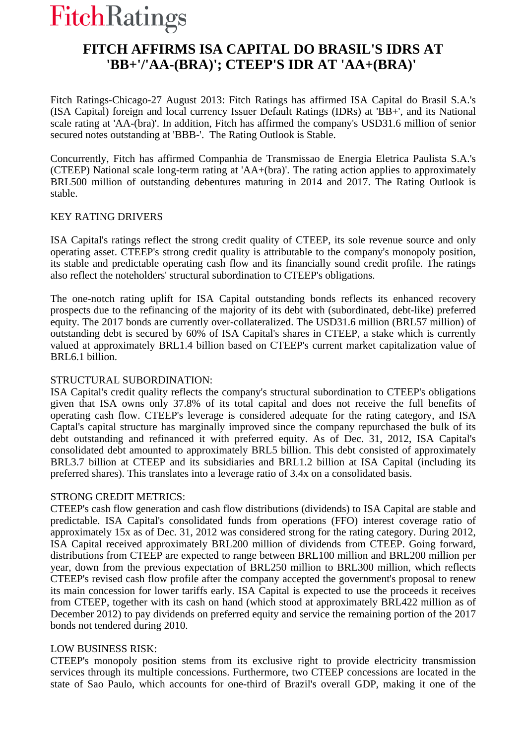# **FitchRatings**

# **FITCH AFFIRMS ISA CAPITAL DO BRASIL'S IDRS AT 'BB+'/'AA-(BRA)'; CTEEP'S IDR AT 'AA+(BRA)'**

Fitch Ratings-Chicago-27 August 2013: Fitch Ratings has affirmed ISA Capital do Brasil S.A.'s (ISA Capital) foreign and local currency Issuer Default Ratings (IDRs) at 'BB+', and its National scale rating at 'AA-(bra)'. In addition, Fitch has affirmed the company's USD31.6 million of senior secured notes outstanding at 'BBB-'. The Rating Outlook is Stable.

Concurrently, Fitch has affirmed Companhia de Transmissao de Energia Eletrica Paulista S.A.'s (CTEEP) National scale long-term rating at 'AA+(bra)'. The rating action applies to approximately BRL500 million of outstanding debentures maturing in 2014 and 2017. The Rating Outlook is stable.

## KEY RATING DRIVERS

ISA Capital's ratings reflect the strong credit quality of CTEEP, its sole revenue source and only operating asset. CTEEP's strong credit quality is attributable to the company's monopoly position, its stable and predictable operating cash flow and its financially sound credit profile. The ratings also reflect the noteholders' structural subordination to CTEEP's obligations.

The one-notch rating uplift for ISA Capital outstanding bonds reflects its enhanced recovery prospects due to the refinancing of the majority of its debt with (subordinated, debt-like) preferred equity. The 2017 bonds are currently over-collateralized. The USD31.6 million (BRL57 million) of outstanding debt is secured by 60% of ISA Capital's shares in CTEEP, a stake which is currently valued at approximately BRL1.4 billion based on CTEEP's current market capitalization value of BRL6.1 billion.

## STRUCTURAL SUBORDINATION:

ISA Capital's credit quality reflects the company's structural subordination to CTEEP's obligations given that ISA owns only 37.8% of its total capital and does not receive the full benefits of operating cash flow. CTEEP's leverage is considered adequate for the rating category, and ISA Captal's capital structure has marginally improved since the company repurchased the bulk of its debt outstanding and refinanced it with preferred equity. As of Dec. 31, 2012, ISA Capital's consolidated debt amounted to approximately BRL5 billion. This debt consisted of approximately BRL3.7 billion at CTEEP and its subsidiaries and BRL1.2 billion at ISA Capital (including its preferred shares). This translates into a leverage ratio of 3.4x on a consolidated basis.

## STRONG CREDIT METRICS:

CTEEP's cash flow generation and cash flow distributions (dividends) to ISA Capital are stable and predictable. ISA Capital's consolidated funds from operations (FFO) interest coverage ratio of approximately 15x as of Dec. 31, 2012 was considered strong for the rating category. During 2012, ISA Capital received approximately BRL200 million of dividends from CTEEP. Going forward, distributions from CTEEP are expected to range between BRL100 million and BRL200 million per year, down from the previous expectation of BRL250 million to BRL300 million, which reflects CTEEP's revised cash flow profile after the company accepted the government's proposal to renew its main concession for lower tariffs early. ISA Capital is expected to use the proceeds it receives from CTEEP, together with its cash on hand (which stood at approximately BRL422 million as of December 2012) to pay dividends on preferred equity and service the remaining portion of the 2017 bonds not tendered during 2010.

## LOW BUSINESS RISK:

CTEEP's monopoly position stems from its exclusive right to provide electricity transmission services through its multiple concessions. Furthermore, two CTEEP concessions are located in the state of Sao Paulo, which accounts for one-third of Brazil's overall GDP, making it one of the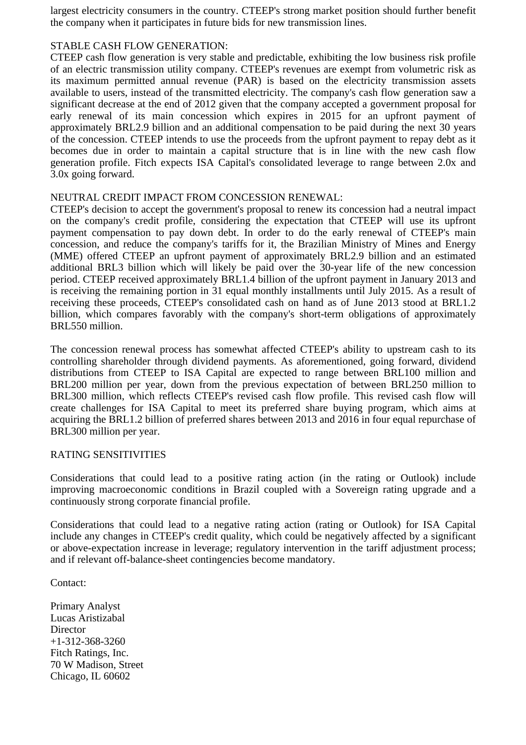largest electricity consumers in the country. CTEEP's strong market position should further benefit the company when it participates in future bids for new transmission lines.

## STABLE CASH FLOW GENERATION:

CTEEP cash flow generation is very stable and predictable, exhibiting the low business risk profile of an electric transmission utility company. CTEEP's revenues are exempt from volumetric risk as its maximum permitted annual revenue (PAR) is based on the electricity transmission assets available to users, instead of the transmitted electricity. The company's cash flow generation saw a significant decrease at the end of 2012 given that the company accepted a government proposal for early renewal of its main concession which expires in 2015 for an upfront payment of approximately BRL2.9 billion and an additional compensation to be paid during the next 30 years of the concession. CTEEP intends to use the proceeds from the upfront payment to repay debt as it becomes due in order to maintain a capital structure that is in line with the new cash flow generation profile. Fitch expects ISA Capital's consolidated leverage to range between 2.0x and 3.0x going forward.

## NEUTRAL CREDIT IMPACT FROM CONCESSION RENEWAL:

CTEEP's decision to accept the government's proposal to renew its concession had a neutral impact on the company's credit profile, considering the expectation that CTEEP will use its upfront payment compensation to pay down debt. In order to do the early renewal of CTEEP's main concession, and reduce the company's tariffs for it, the Brazilian Ministry of Mines and Energy (MME) offered CTEEP an upfront payment of approximately BRL2.9 billion and an estimated additional BRL3 billion which will likely be paid over the 30-year life of the new concession period. CTEEP received approximately BRL1.4 billion of the upfront payment in January 2013 and is receiving the remaining portion in 31 equal monthly installments until July 2015. As a result of receiving these proceeds, CTEEP's consolidated cash on hand as of June 2013 stood at BRL1.2 billion, which compares favorably with the company's short-term obligations of approximately BRL550 million.

The concession renewal process has somewhat affected CTEEP's ability to upstream cash to its controlling shareholder through dividend payments. As aforementioned, going forward, dividend distributions from CTEEP to ISA Capital are expected to range between BRL100 million and BRL200 million per year, down from the previous expectation of between BRL250 million to BRL300 million, which reflects CTEEP's revised cash flow profile. This revised cash flow will create challenges for ISA Capital to meet its preferred share buying program, which aims at acquiring the BRL1.2 billion of preferred shares between 2013 and 2016 in four equal repurchase of BRL300 million per year.

## RATING SENSITIVITIES

Considerations that could lead to a positive rating action (in the rating or Outlook) include improving macroeconomic conditions in Brazil coupled with a Sovereign rating upgrade and a continuously strong corporate financial profile.

Considerations that could lead to a negative rating action (rating or Outlook) for ISA Capital include any changes in CTEEP's credit quality, which could be negatively affected by a significant or above-expectation increase in leverage; regulatory intervention in the tariff adjustment process; and if relevant off-balance-sheet contingencies become mandatory.

Contact:

Primary Analyst Lucas Aristizabal **Director** +1-312-368-3260 Fitch Ratings, Inc. 70 W Madison, Street Chicago, IL 60602